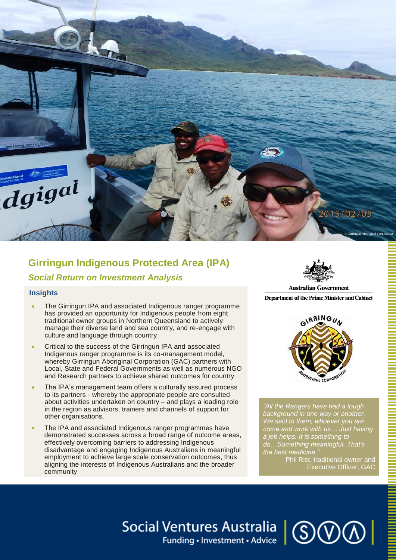

# **Girringun Indigenous Protected Area (IPA)**  *Social Return on Investment Analysis*

### **Insights**

Ļ

- The Girringun IPA and associated Indigenous ranger programme has provided an opportunity for Indigenous people from eight traditional owner groups in Northern Queensland to actively manage their diverse land and sea country, and re-engage with culture and language through country
- Critical to the success of the Girringun IPA and associated Indigenous ranger programme is its co-management model, whereby Girringun Aboriginal Corporation (GAC) partners with Local, State and Federal Governments as well as numerous NGO and Research partners to achieve shared outcomes for country
- The IPA's management team offers a culturally assured process to its partners - whereby the appropriate people are consulted about activities undertaken on country – and plays a leading role in the region as advisors, trainers and channels of support for other organisations.
- The IPA and associated Indigenous ranger programmes have demonstrated successes across a broad range of outcome areas, effectively overcoming barriers to addressing Indigenous disadvantage and engaging Indigenous Australians in meaningful employment to achieve large scale conservation outcomes, thus aligning the interests of Indigenous Australians and the broader community



Department of the Prime Minister and Cabinet



*"All the Rangers have had a tough background in one way or another. We said to them, whoever you are come and work with us… Just having a job helps. It is something to do…Something meaningful. That's the best medicine."*

> Phil Rist, traditional owner and Executive Officer, GAC

# Social Ventures Australia | **SOOO**

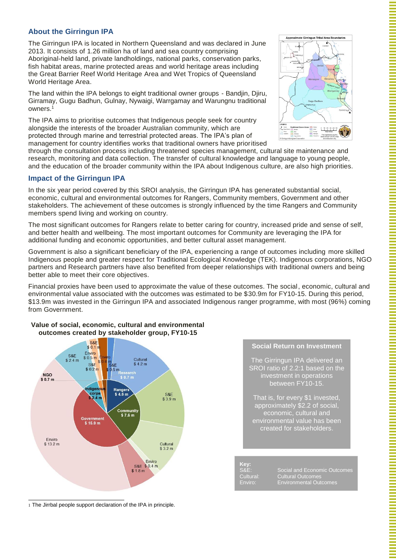# **About the Girringun IPA**

The Girringun IPA is located in Northern Queensland and was declared in June 2013. It consists of 1.26 million ha of land and sea country comprising Aboriginal-held land, private landholdings, national parks, conservation parks, fish habitat areas, marine protected areas and world heritage areas including the Great Barrier Reef World Heritage Area and Wet Tropics of Queensland World Heritage Area.

The land within the IPA belongs to eight traditional owner groups - Bandjin, Djiru, Girramay, Gugu Badhun, Gulnay, Nywaigi, Warrgamay and Warungnu traditional owners.<sup>1</sup>

The IPA aims to prioritise outcomes that Indigenous people seek for country alongside the interests of the broader Australian community, which are protected through marine and terrestrial protected areas. The IPA's plan of management for country identifies works that traditional owners have prioritised



through the consultation process including threatened species management, cultural site maintenance and research, monitoring and data collection. The transfer of cultural knowledge and language to young people, and the education of the broader community within the IPA about Indigenous culture, are also high priorities.

## **Impact of the Girringun IPA**

In the six year period covered by this SROI analysis, the Girringun IPA has generated substantial social, economic, cultural and environmental outcomes for Rangers, Community members, Government and other stakeholders. The achievement of these outcomes is strongly influenced by the time Rangers and Community members spend living and working on country.

The most significant outcomes for Rangers relate to better caring for country, increased pride and sense of self, and better health and wellbeing. The most important outcomes for Community are leveraging the IPA for additional funding and economic opportunities, and better cultural asset management.

Government is also a significant beneficiary of the IPA, experiencing a range of outcomes including more skilled Indigenous people and greater respect for Traditional Ecological Knowledge (TEK). Indigenous corporations, NGO partners and Research partners have also benefited from deeper relationships with traditional owners and being better able to meet their core objectives.

Financial proxies have been used to approximate the value of these outcomes. The social, economic, cultural and environmental value associated with the outcomes was estimated to be \$30.9m for FY10-15. During this period, \$13.9m was invested in the Girringun IPA and associated Indigenous ranger programme, with most (96%) coming from Government.

#### **Value of social, economic, cultural and environmental outcomes created by stakeholder group, FY10-15**



### **Social Return on Investment**

The Girringun IPA delivered an SROI ratio of 2.2:1 based on the investment in operations between FY10-15.

That is, for every \$1 invested, approximately \$2.2 of social, economic, cultural and environmental value has been created for stakeholders.

**Key:**

S&E: Social and Economic Outcomes Cultural: Cultural Outcomes Enviro: Environmental Outcomes

1 The Jirrbal people support declaration of the IPA in principle.